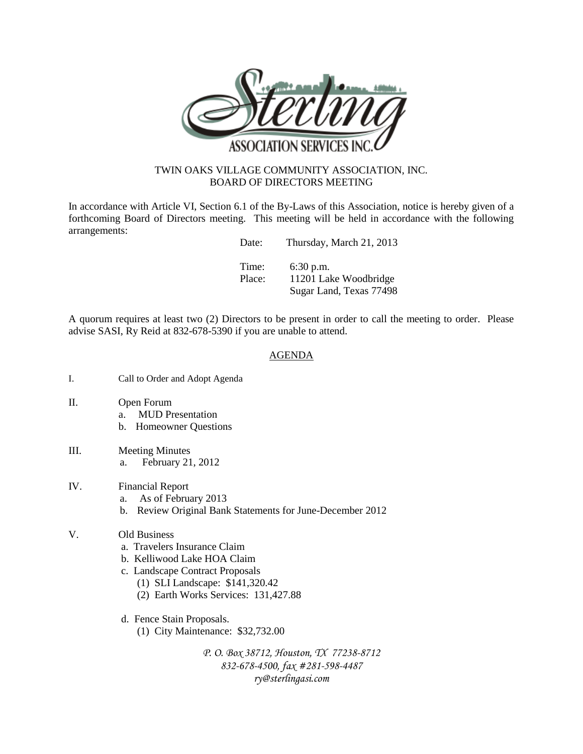

## TWIN OAKS VILLAGE COMMUNITY ASSOCIATION, INC. BOARD OF DIRECTORS MEETING

In accordance with Article VI, Section 6.1 of the By-Laws of this Association, notice is hereby given of a forthcoming Board of Directors meeting. This meeting will be held in accordance with the following arrangements:

| Date:  | Thursday, March 21, 2013                         |
|--------|--------------------------------------------------|
| Time:  | $6:30$ p.m.                                      |
| Place: | 11201 Lake Woodbridge<br>Sugar Land, Texas 77498 |

A quorum requires at least two (2) Directors to be present in order to call the meeting to order. Please advise SASI, Ry Reid at 832-678-5390 if you are unable to attend.

## AGENDA

- I. Call to Order and Adopt Agenda
- II. Open Forum
	- a. MUD Presentation
	- b. Homeowner Questions
- III. Meeting Minutes a. February 21, 2012
- IV. Financial Report
	- a. As of February 2013
	- b. Review Original Bank Statements for June-December 2012
- V. Old Business
	- a. Travelers Insurance Claim
	- b. Kelliwood Lake HOA Claim
	- c. Landscape Contract Proposals
		- (1) SLI Landscape: \$141,320.42
		- (2) Earth Works Services: 131,427.88
	- d. Fence Stain Proposals.
		- (1) City Maintenance: \$32,732.00

*P. O. Box 38712, Houston, TX 77238-8712 832-678-4500, fax #281-598-4487 ry@sterlingasi.com*